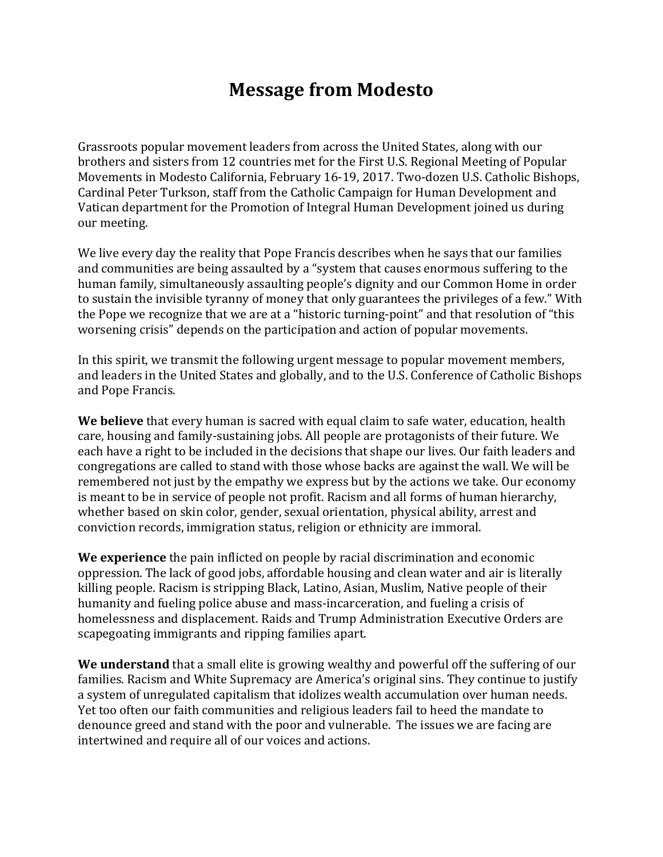# **Message from Modesto**

Grassroots popular movement leaders from across the United States, along with our brothers and sisters from 12 countries met for the First U.S. Regional Meeting of Popular Movements in Modesto California, February 16-19, 2017. Two-dozen U.S. Catholic Bishops, Cardinal Peter Turkson, staff from the Catholic Campaign for Human Development and Vatican department for the Promotion of Integral Human Development joined us during our meeting.

We live every day the reality that Pope Francis describes when he says that our families and communities are being assaulted by a "system that causes enormous suffering to the human family, simultaneously assaulting people's dignity and our Common Home in order to sustain the invisible tyranny of money that only guarantees the privileges of a few." With the Pope we recognize that we are at a "historic turning-point" and that resolution of "this worsening crisis" depends on the participation and action of popular movements.

In this spirit, we transmit the following urgent message to popular movement members, and leaders in the United States and globally, and to the U.S. Conference of Catholic Bishops and Pope Francis.

**We believe** that every human is sacred with equal claim to safe water, education, health care, housing and family-sustaining jobs. All people are protagonists of their future. We each have a right to be included in the decisions that shape our lives. Our faith leaders and congregations are called to stand with those whose backs are against the wall. We will be remembered not just by the empathy we express but by the actions we take. Our economy is meant to be in service of people not profit. Racism and all forms of human hierarchy, whether based on skin color, gender, sexual orientation, physical ability, arrest and conviction records, immigration status, religion or ethnicity are immoral.

We experience the pain inflicted on people by racial discrimination and economic oppression. The lack of good jobs, affordable housing and clean water and air is literally killing people. Racism is stripping Black, Latino, Asian, Muslim, Native people of their humanity and fueling police abuse and mass-incarceration, and fueling a crisis of homelessness and displacement. Raids and Trump Administration Executive Orders are scapegoating immigrants and ripping families apart.

**We understand** that a small elite is growing wealthy and powerful off the suffering of our families. Racism and White Supremacy are America's original sins. They continue to justify a system of unregulated capitalism that idolizes wealth accumulation over human needs. Yet too often our faith communities and religious leaders fail to heed the mandate to denounce greed and stand with the poor and vulnerable. The issues we are facing are intertwined and require all of our voices and actions.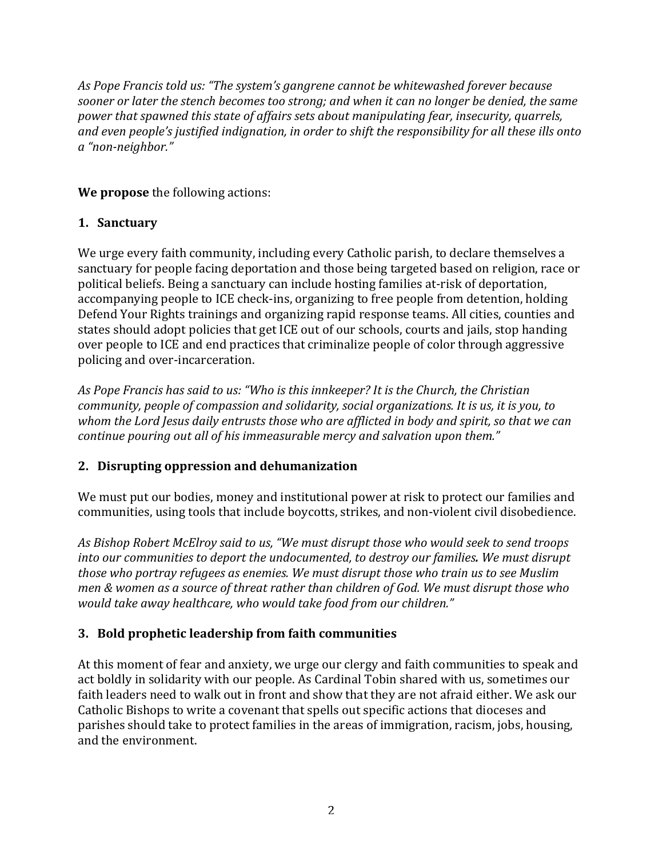As Pope Francis told us: "The system's gangrene cannot be whitewashed forever because sooner or later the stench becomes too strong; and when it can no longer be denied, the same *power that spawned this state of affairs sets about manipulating fear, insecurity, quarrels,* and even people's justified indignation, in order to shift the responsibility for all these ills onto *a "non-neighbor."*

**We propose** the following actions:

### **1. Sanctuary**

We urge every faith community, including every Catholic parish, to declare themselves a sanctuary for people facing deportation and those being targeted based on religion, race or political beliefs. Being a sanctuary can include hosting families at-risk of deportation, accompanying people to ICE check-ins, organizing to free people from detention, holding Defend Your Rights trainings and organizing rapid response teams. All cities, counties and states should adopt policies that get ICE out of our schools, courts and jails, stop handing over people to ICE and end practices that criminalize people of color through aggressive policing and over-incarceration.

As Pope Francis has said to us: "Who is this innkeeper? It is the Church, the Christian *community, people of compassion and solidarity, social organizations. It is us, it is you, to* whom the Lord Jesus daily entrusts those who are afflicted in body and spirit, so that we can *continue pouring out all of his immeasurable mercy and salvation upon them."* 

### **2. Disrupting oppression and dehumanization**

We must put our bodies, money and institutional power at risk to protect our families and communities, using tools that include boycotts, strikes, and non-violent civil disobedience.

As Bishop Robert McElroy said to us, "We must disrupt those who would seek to send troops *into our communities to deport the undocumented, to destroy our families. We must disrupt those who portray refugees as enemies. We must disrupt those who train us to see Muslim men & women as a source of threat rather than children of God. We must disrupt those who* would take away healthcare, who would take food from our children."

## **3. Bold prophetic leadership from faith communities**

At this moment of fear and anxiety, we urge our clergy and faith communities to speak and act boldly in solidarity with our people. As Cardinal Tobin shared with us, sometimes our faith leaders need to walk out in front and show that they are not afraid either. We ask our Catholic Bishops to write a covenant that spells out specific actions that dioceses and parishes should take to protect families in the areas of immigration, racism, jobs, housing, and the environment.